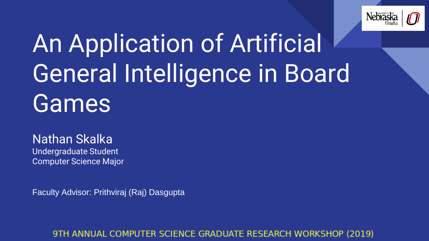

## An Application of Artificial General Intelligence in Board Games

#### Nathan Skalka

Undergraduate Student Computer Science Major

Faculty Advisor: Prithviraj (Raj) Dasgupta

#### 9TH ANNUAL COMPUTER SCIENCE GRADUATE RESEARCH WORKSHOP (2019)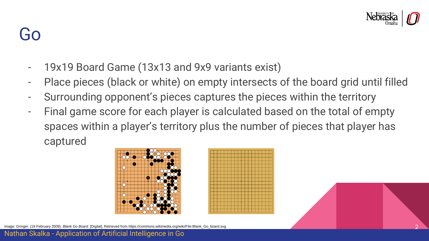

#### Go

- 19x19 Board Game (13x13 and 9x9 variants exist)
- Place pieces (black or white) on empty intersects of the board grid until filled
- Surrounding opponent's pieces captures the pieces within the territory
- Final game score for each player is calculated based on the total of empty spaces within a player's territory plus the number of pieces that player has captured







Image: Gringer. (19 February 2009). *Blank Go Board* [Digital]. Retrieved from https://commons.wikimedia.org/wiki/File:Blank\_Go\_board.svg. 2

Nathan Skalka - Application of Artificial Intelligence in Go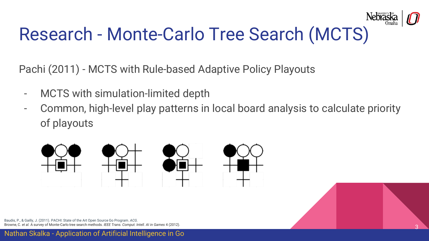

### Research - Monte-Carlo Tree Search (MCTS)

Pachi (2011) - MCTS with Rule-based Adaptive Policy Playouts

- MCTS with simulation-limited depth
- Common, high-level play patterns in local board analysis to calculate priority of playouts



Baudis, P., & Gailly, J. (2011). PACHI: State of the Art Open Source Go Program. *ACG*. Browne, C. *et al.* A survey of Monte-Carlo tree search methods. *IEEE Trans. Comput. Intell. AI in Games* 4 (2012). 3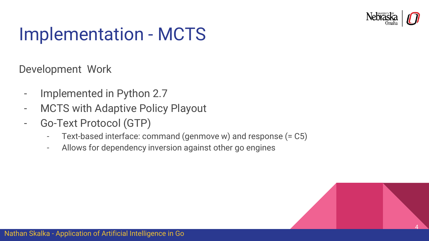

#### Implementation - MCTS

Development Work

- Implemented in Python 2.7
- MCTS with Adaptive Policy Playout
- Go-Text Protocol (GTP)
	- Text-based interface: command (genmove w) and response (= C5)
	- Allows for dependency inversion against other go engines

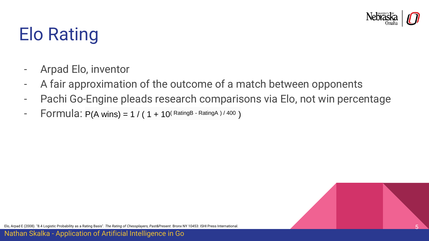

### Elo Rating

- Arpad Elo, inventor
- A fair approximation of the outcome of a match between opponents
- Pachi Go-Engine pleads research comparisons via Elo, not win percentage
- Formula:  $P(A \text{ wins}) = 1 / (1 + 10^{(RatingB RatingA)/400})$



Elo, Arpad E (2008). "8.4 Logistic Probability as a Rating Basis". *The Rating of Chessplayers, Past&Present*. Bronx NY 10453: ISHI Press International. 5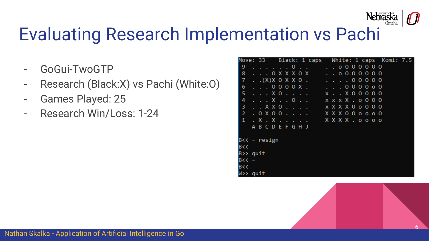

### Evaluating Research Implementation vs Pachi

- GoGui-TwoGTP
- Research (Black:X) vs Pachi (White:O)
- Games Played: 25
- Research Win/Loss: 1-24

|                 | Black: 1 caps<br>Move: 33       |                                |  |  |             |  |  |  |  | White: 1 caps Komi: 7.5 |  |
|-----------------|---------------------------------|--------------------------------|--|--|-------------|--|--|--|--|-------------------------|--|
| 9               | . 0 <u>.</u> .                  |                                |  |  | .0000000    |  |  |  |  |                         |  |
| 8               | . 0 X X X 0 X                   |                                |  |  | . 0000000   |  |  |  |  |                         |  |
| 7               | . . (X) X O X X O .             |                                |  |  | . 0 0 0 0 0 |  |  |  |  |                         |  |
| 6               | $\ldots$ 0000X.                 | $\mathbf{r} = \mathbf{r}^{-1}$ |  |  | . 000000    |  |  |  |  |                         |  |
| 5               | . X 0                           | $x$ . $x$ 00000                |  |  |             |  |  |  |  |                         |  |
| 4               | . X 0       x x x X . o 0 0 0   |                                |  |  |             |  |  |  |  |                         |  |
| з               | X X 0       x X X X 0 0 0 0 0   |                                |  |  |             |  |  |  |  |                         |  |
| $\overline{2}$  | . 0 X 0 0                       | XXX 0 0 0 0 0 0                |  |  |             |  |  |  |  |                         |  |
| 1               | . X . X       X X X X . 0 0 0 0 |                                |  |  |             |  |  |  |  |                         |  |
|                 | A B C D E F G H J               |                                |  |  |             |  |  |  |  |                         |  |
|                 |                                 |                                |  |  |             |  |  |  |  |                         |  |
| $B << =$ resign |                                 |                                |  |  |             |  |  |  |  |                         |  |
| B<<             |                                 |                                |  |  |             |  |  |  |  |                         |  |
| B>> quit        |                                 |                                |  |  |             |  |  |  |  |                         |  |
| $B<< =$         |                                 |                                |  |  |             |  |  |  |  |                         |  |
| B<<             |                                 |                                |  |  |             |  |  |  |  |                         |  |
| W>> quit        |                                 |                                |  |  |             |  |  |  |  |                         |  |

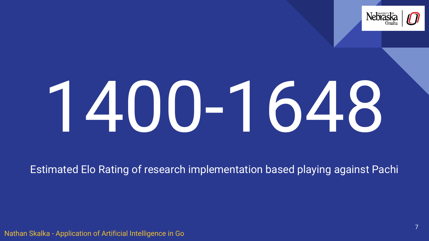

# 1400-1648

Estimated Elo Rating of research implementation based playing against Pachi

Nathan Skalka - Application of Artificial Intelligence in Go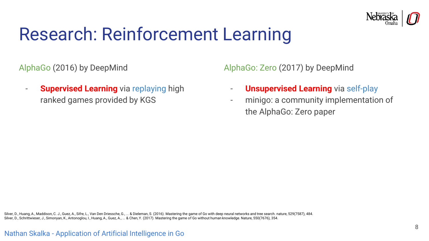

#### Research: Reinforcement Learning

AlphaGo (2016) by DeepMind

- **Supervised Learning** via replaying high ranked games provided by KGS

AlphaGo: Zero (2017) by DeepMind

- **Unsupervised Learning** via self-play
- minigo: a community implementation of the AlphaGo: Zero paper

Silver, D., Huang, A., Maddison, C. J., Guez, A., Sifre, L., Van Den Driessche, G., ... & Dieleman, S. (2016). Mastering the game of Go with deep neural networks and tree search. nature, 529(7587), 484. Silver, D., Schrittwieser, J., Simonyan, K., Antonoglou, I., Huang, A., Guez, A., ... & Chen, Y. (2017). Mastering the game of Go without human knowledge. Nature, 550(7676), 354.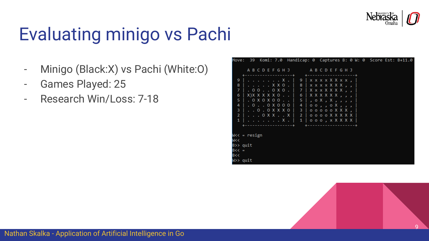

### Evaluating minigo vs Pachi

- Minigo (Black:X) vs Pachi (White:O)
- Games Played: 25
- Research Win/Loss: 7-18

|                      |                                                |  |  |                                         |                                    |                   |  |  |  |  |  | Move: 39 Komi: 7.0 Handicap: 0 Captures B: 0 W: 0 Score Est: B+11.0 |  |
|----------------------|------------------------------------------------|--|--|-----------------------------------------|------------------------------------|-------------------|--|--|--|--|--|---------------------------------------------------------------------|--|
|                      |                                                |  |  | A B C D E F G H J                       |                                    | A B C D E F G H J |  |  |  |  |  |                                                                     |  |
| 9                    | . X .                                          |  |  |                                         | $9$   x x x x X X x x ,            |                   |  |  |  |  |  |                                                                     |  |
| 8                    |                                                |  |  | . X X 0 .   8   x x x x X X X , , .     |                                    |                   |  |  |  |  |  |                                                                     |  |
| 7                    | $0.00100\times0.1$                             |  |  |                                         | 7   X x x X X X X , ,              |                   |  |  |  |  |  |                                                                     |  |
| 6                    | $X)$ $X$ $X$ $X$ $X$ $X$ $0$ $\ldots$ $\vdots$ |  |  |                                         | 6   X X X X X X , , ,              |                   |  |  |  |  |  |                                                                     |  |
| 5.                   | $\therefore$ 0 X 0 X 0 0 $\therefore$ 1        |  |  |                                         | $5$ , $0$ X, X, $1$ , $1$          |                   |  |  |  |  |  |                                                                     |  |
| 4                    | .0.00000                                       |  |  |                                         | 4                                  | 00, , 0 X, , ,    |  |  |  |  |  |                                                                     |  |
| 3                    |                                                |  |  | 0 . 0 X X X 0   3   0 0 0 0 0 0 X X X , |                                    |                   |  |  |  |  |  |                                                                     |  |
| $\overline{2}$       |                                                |  |  | 0 X X X   ¯2   o o o o X X X X X X      |                                    |                   |  |  |  |  |  |                                                                     |  |
| 1                    | X .                                            |  |  |                                         | $1   0 0 0, X$ $X$ $X$ $X$ $X$ $Y$ |                   |  |  |  |  |  |                                                                     |  |
|                      |                                                |  |  |                                         |                                    |                   |  |  |  |  |  |                                                                     |  |
|                      |                                                |  |  |                                         |                                    |                   |  |  |  |  |  |                                                                     |  |
| W<< = resign         |                                                |  |  |                                         |                                    |                   |  |  |  |  |  |                                                                     |  |
| W <<                 |                                                |  |  |                                         |                                    |                   |  |  |  |  |  |                                                                     |  |
| $B \rightarrow$ quit |                                                |  |  |                                         |                                    |                   |  |  |  |  |  |                                                                     |  |
| $B << =$             |                                                |  |  |                                         |                                    |                   |  |  |  |  |  |                                                                     |  |
| B <<                 |                                                |  |  |                                         |                                    |                   |  |  |  |  |  |                                                                     |  |
| W>> quit             |                                                |  |  |                                         |                                    |                   |  |  |  |  |  |                                                                     |  |

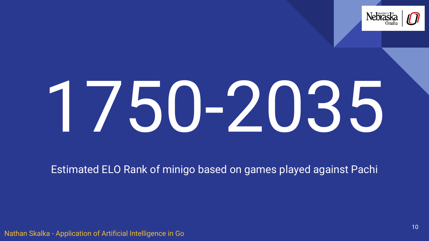

# 1750-2035

Estimated ELO Rank of minigo based on games played against Pachi

Nathan Skalka - Application of Artificial Intelligence in Go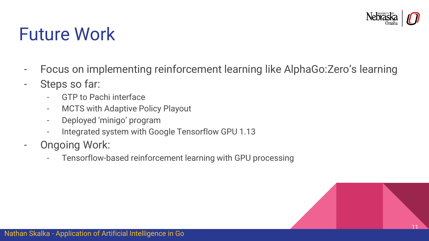

#### Future Work

- Focus on implementing reinforcement learning like AlphaGo:Zero's learning
- Steps so far:
	- GTP to Pachi interface
	- MCTS with Adaptive Policy Playout
	- Deployed 'minigo' program
	- Integrated system with Google Tensorflow GPU 1.13
- Ongoing Work:
	- Tensorflow-based reinforcement learning with GPU processing